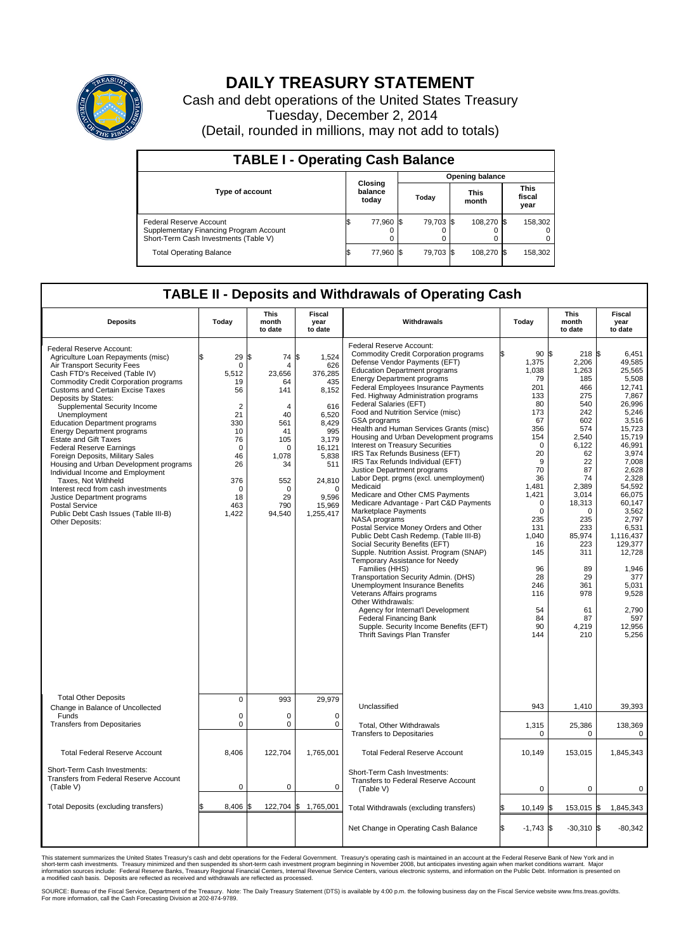

## **DAILY TREASURY STATEMENT**

Cash and debt operations of the United States Treasury Tuesday, December 2, 2014 (Detail, rounded in millions, may not add to totals)

| <b>TABLE I - Operating Cash Balance</b>                                                                     |                             |           |       |           |                      |            |                               |         |
|-------------------------------------------------------------------------------------------------------------|-----------------------------|-----------|-------|-----------|----------------------|------------|-------------------------------|---------|
| <b>Opening balance</b>                                                                                      |                             |           |       |           |                      |            |                               |         |
| <b>Type of account</b>                                                                                      | Closing<br>balance<br>today |           | Today |           | <b>This</b><br>month |            | <b>This</b><br>fiscal<br>year |         |
| Federal Reserve Account<br>Supplementary Financing Program Account<br>Short-Term Cash Investments (Table V) |                             | 77,960 \$ |       | 79.703 \$ |                      | 108.270 \$ |                               | 158,302 |
| <b>Total Operating Balance</b>                                                                              |                             | 77,960 \$ |       | 79.703 \$ |                      | 108,270 \$ |                               | 158,302 |

## **TABLE II - Deposits and Withdrawals of Operating Cash**

| <b>Deposits</b>                                                                                                                                                                                                                                                                                                                                                                                                                                                                                                                                                                                                                                                                                                                                       | Today                                                                                                                                                          | <b>This</b><br>month<br>to date                                                                                                   | <b>Fiscal</b><br>year<br>to date                                                                                                                                       | Withdrawals                                                                                                                                                                                                                                                                                                                                                                                                                                                                                                                                                                                                                                                                                                                                                                                                                                                                                                                                                                                                                                                                                                                                                                                                                                                       | Today                                                                                                                                                                                                                                                            | <b>This</b><br>month<br>to date                                                                                                                                                                                                                       | Fiscal<br>year<br>to date                                                                                                                                                                                                                                                                                           |
|-------------------------------------------------------------------------------------------------------------------------------------------------------------------------------------------------------------------------------------------------------------------------------------------------------------------------------------------------------------------------------------------------------------------------------------------------------------------------------------------------------------------------------------------------------------------------------------------------------------------------------------------------------------------------------------------------------------------------------------------------------|----------------------------------------------------------------------------------------------------------------------------------------------------------------|-----------------------------------------------------------------------------------------------------------------------------------|------------------------------------------------------------------------------------------------------------------------------------------------------------------------|-------------------------------------------------------------------------------------------------------------------------------------------------------------------------------------------------------------------------------------------------------------------------------------------------------------------------------------------------------------------------------------------------------------------------------------------------------------------------------------------------------------------------------------------------------------------------------------------------------------------------------------------------------------------------------------------------------------------------------------------------------------------------------------------------------------------------------------------------------------------------------------------------------------------------------------------------------------------------------------------------------------------------------------------------------------------------------------------------------------------------------------------------------------------------------------------------------------------------------------------------------------------|------------------------------------------------------------------------------------------------------------------------------------------------------------------------------------------------------------------------------------------------------------------|-------------------------------------------------------------------------------------------------------------------------------------------------------------------------------------------------------------------------------------------------------|---------------------------------------------------------------------------------------------------------------------------------------------------------------------------------------------------------------------------------------------------------------------------------------------------------------------|
| Federal Reserve Account:<br>Agriculture Loan Repayments (misc)<br>Air Transport Security Fees<br>Cash FTD's Received (Table IV)<br><b>Commodity Credit Corporation programs</b><br><b>Customs and Certain Excise Taxes</b><br>Deposits by States:<br>Supplemental Security Income<br>Unemployment<br><b>Education Department programs</b><br><b>Energy Department programs</b><br><b>Estate and Gift Taxes</b><br><b>Federal Reserve Earnings</b><br>Foreign Deposits, Military Sales<br>Housing and Urban Development programs<br>Individual Income and Employment<br>Taxes, Not Withheld<br>Interest recd from cash investments<br>Justice Department programs<br><b>Postal Service</b><br>Public Debt Cash Issues (Table III-B)<br>Other Deposits: | \$<br>29<br>$\mathbf 0$<br>5.512<br>19<br>56<br>$\overline{2}$<br>21<br>330<br>10<br>76<br>$\mathbf 0$<br>46<br>26<br>376<br>$\mathbf 0$<br>18<br>463<br>1,422 | \$<br>74<br>Δ<br>23.656<br>64<br>141<br>4<br>40<br>561<br>41<br>105<br>0<br>1,078<br>34<br>552<br>$\Omega$<br>29<br>790<br>94,540 | \$<br>1,524<br>626<br>376,285<br>435<br>8,152<br>616<br>6,520<br>8.429<br>995<br>3.179<br>16,121<br>5,838<br>511<br>24,810<br>$\Omega$<br>9.596<br>15,969<br>1,255,417 | Federal Reserve Account:<br><b>Commodity Credit Corporation programs</b><br>Defense Vendor Payments (EFT)<br><b>Education Department programs</b><br><b>Energy Department programs</b><br>Federal Employees Insurance Payments<br>Fed. Highway Administration programs<br>Federal Salaries (EFT)<br>Food and Nutrition Service (misc)<br>GSA programs<br>Health and Human Services Grants (misc)<br>Housing and Urban Development programs<br>Interest on Treasury Securities<br>IRS Tax Refunds Business (EFT)<br>IRS Tax Refunds Individual (EFT)<br>Justice Department programs<br>Labor Dept. prgms (excl. unemployment)<br>Medicaid<br>Medicare and Other CMS Payments<br>Medicare Advantage - Part C&D Payments<br>Marketplace Payments<br>NASA programs<br>Postal Service Money Orders and Other<br>Public Debt Cash Redemp. (Table III-B)<br>Social Security Benefits (EFT)<br>Supple. Nutrition Assist. Program (SNAP)<br>Temporary Assistance for Needy<br>Families (HHS)<br>Transportation Security Admin. (DHS)<br>Unemployment Insurance Benefits<br>Veterans Affairs programs<br>Other Withdrawals:<br>Agency for Internat'l Development<br><b>Federal Financing Bank</b><br>Supple. Security Income Benefits (EFT)<br>Thrift Savings Plan Transfer | 90 <sup>5</sup><br>1,375<br>1,038<br>79<br>201<br>133<br>80<br>173<br>67<br>356<br>154<br>$\mathbf 0$<br>20<br>9<br>70<br>36<br>1,481<br>1,421<br>$\mathbf 0$<br>$\Omega$<br>235<br>131<br>1.040<br>16<br>145<br>96<br>28<br>246<br>116<br>54<br>84<br>90<br>144 | 218S<br>2,206<br>1,263<br>185<br>466<br>275<br>540<br>242<br>602<br>574<br>2,540<br>6,122<br>62<br>22<br>87<br>74<br>2,389<br>3,014<br>18,313<br>$\Omega$<br>235<br>233<br>85.974<br>223<br>311<br>89<br>29<br>361<br>978<br>61<br>87<br>4,219<br>210 | 6.451<br>49,585<br>25,565<br>5,508<br>12,741<br>7,867<br>26.996<br>5,246<br>3,516<br>15.723<br>15,719<br>46,991<br>3.974<br>7,008<br>2,628<br>2,328<br>54,592<br>66,075<br>60.147<br>3,562<br>2.797<br>6,531<br>1.116.437<br>129,377<br>12,728<br>1,946<br>377<br>5,031<br>9,528<br>2,790<br>597<br>12,956<br>5,256 |
| <b>Total Other Deposits</b><br>Change in Balance of Uncollected                                                                                                                                                                                                                                                                                                                                                                                                                                                                                                                                                                                                                                                                                       | $\mathbf 0$                                                                                                                                                    | 993                                                                                                                               | 29,979                                                                                                                                                                 | Unclassified                                                                                                                                                                                                                                                                                                                                                                                                                                                                                                                                                                                                                                                                                                                                                                                                                                                                                                                                                                                                                                                                                                                                                                                                                                                      | 943                                                                                                                                                                                                                                                              | 1,410                                                                                                                                                                                                                                                 | 39,393                                                                                                                                                                                                                                                                                                              |
| Funds<br><b>Transfers from Depositaries</b>                                                                                                                                                                                                                                                                                                                                                                                                                                                                                                                                                                                                                                                                                                           | $\mathbf 0$<br>$\mathsf 0$                                                                                                                                     | $\Omega$<br>0                                                                                                                     | $\mathbf 0$<br>$\mathbf 0$                                                                                                                                             | Total, Other Withdrawals<br><b>Transfers to Depositaries</b>                                                                                                                                                                                                                                                                                                                                                                                                                                                                                                                                                                                                                                                                                                                                                                                                                                                                                                                                                                                                                                                                                                                                                                                                      | 1,315<br>$\mathbf 0$                                                                                                                                                                                                                                             | 25,386<br>0                                                                                                                                                                                                                                           | 138,369<br>0                                                                                                                                                                                                                                                                                                        |
| <b>Total Federal Reserve Account</b>                                                                                                                                                                                                                                                                                                                                                                                                                                                                                                                                                                                                                                                                                                                  | 8,406                                                                                                                                                          | 122,704                                                                                                                           | 1,765,001                                                                                                                                                              | <b>Total Federal Reserve Account</b>                                                                                                                                                                                                                                                                                                                                                                                                                                                                                                                                                                                                                                                                                                                                                                                                                                                                                                                                                                                                                                                                                                                                                                                                                              | 10,149                                                                                                                                                                                                                                                           | 153,015                                                                                                                                                                                                                                               | 1,845,343                                                                                                                                                                                                                                                                                                           |
| Short-Term Cash Investments:<br>Transfers from Federal Reserve Account<br>(Table V)                                                                                                                                                                                                                                                                                                                                                                                                                                                                                                                                                                                                                                                                   | $\pmb{0}$                                                                                                                                                      | 0                                                                                                                                 | $\mathbf 0$                                                                                                                                                            | Short-Term Cash Investments:<br>Transfers to Federal Reserve Account<br>(Table V)                                                                                                                                                                                                                                                                                                                                                                                                                                                                                                                                                                                                                                                                                                                                                                                                                                                                                                                                                                                                                                                                                                                                                                                 | $\mathbf 0$                                                                                                                                                                                                                                                      | 0                                                                                                                                                                                                                                                     | 0                                                                                                                                                                                                                                                                                                                   |
| Total Deposits (excluding transfers)                                                                                                                                                                                                                                                                                                                                                                                                                                                                                                                                                                                                                                                                                                                  | 8,406                                                                                                                                                          | 122,704 \$                                                                                                                        | 1,765,001                                                                                                                                                              | Total Withdrawals (excluding transfers)                                                                                                                                                                                                                                                                                                                                                                                                                                                                                                                                                                                                                                                                                                                                                                                                                                                                                                                                                                                                                                                                                                                                                                                                                           | \$<br>$10,149$ \$                                                                                                                                                                                                                                                | 153,015 \$                                                                                                                                                                                                                                            | 1,845,343                                                                                                                                                                                                                                                                                                           |
|                                                                                                                                                                                                                                                                                                                                                                                                                                                                                                                                                                                                                                                                                                                                                       |                                                                                                                                                                |                                                                                                                                   |                                                                                                                                                                        | Net Change in Operating Cash Balance                                                                                                                                                                                                                                                                                                                                                                                                                                                                                                                                                                                                                                                                                                                                                                                                                                                                                                                                                                                                                                                                                                                                                                                                                              | Ŝ.<br>$-1,743$ \$                                                                                                                                                                                                                                                | $-30,310$ \$                                                                                                                                                                                                                                          | $-80,342$                                                                                                                                                                                                                                                                                                           |

This statement summarizes the United States Treasury's cash and debt operations for the Federal Government. Treasury's operating cash is maintained in an account at the Federal Reserve Bank of New York and in<br>short-term ca

SOURCE: Bureau of the Fiscal Service, Department of the Treasury. Note: The Daily Treasury Statement (DTS) is available by 4:00 p.m. the following business day on the Fiscal Service website www.fms.treas.gov/dts.<br>For more